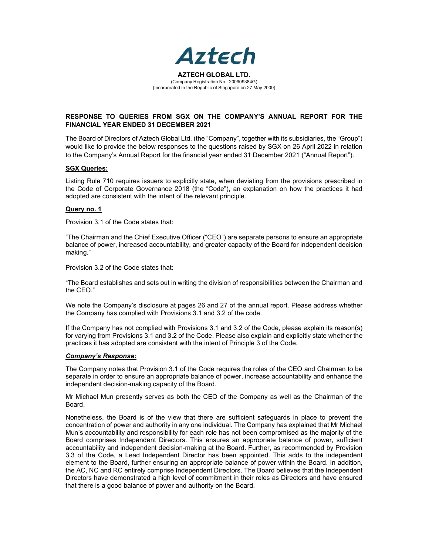

## RESPONSE TO QUERIES FROM SGX ON THE COMPANY'S ANNUAL REPORT FOR THE FINANCIAL YEAR ENDED 31 DECEMBER 2021

The Board of Directors of Aztech Global Ltd. (the "Company", together with its subsidiaries, the "Group") would like to provide the below responses to the questions raised by SGX on 26 April 2022 in relation to the Company's Annual Report for the financial year ended 31 December 2021 ("Annual Report").

#### SGX Queries:

Listing Rule 710 requires issuers to explicitly state, when deviating from the provisions prescribed in the Code of Corporate Governance 2018 (the "Code"), an explanation on how the practices it had adopted are consistent with the intent of the relevant principle.

#### Query no. 1

Provision 3.1 of the Code states that:

"The Chairman and the Chief Executive Officer ("CEO") are separate persons to ensure an appropriate balance of power, increased accountability, and greater capacity of the Board for independent decision making."

Provision 3.2 of the Code states that:

"The Board establishes and sets out in writing the division of responsibilities between the Chairman and the CEO."

We note the Company's disclosure at pages 26 and 27 of the annual report. Please address whether the Company has complied with Provisions 3.1 and 3.2 of the code.

If the Company has not complied with Provisions 3.1 and 3.2 of the Code, please explain its reason(s) for varying from Provisions 3.1 and 3.2 of the Code. Please also explain and explicitly state whether the practices it has adopted are consistent with the intent of Principle 3 of the Code.

#### Company's Response:

The Company notes that Provision 3.1 of the Code requires the roles of the CEO and Chairman to be separate in order to ensure an appropriate balance of power, increase accountability and enhance the independent decision-making capacity of the Board.

Mr Michael Mun presently serves as both the CEO of the Company as well as the Chairman of the Board.

Nonetheless, the Board is of the view that there are sufficient safeguards in place to prevent the concentration of power and authority in any one individual. The Company has explained that Mr Michael Mun's accountability and responsibility for each role has not been compromised as the majority of the Board comprises Independent Directors. This ensures an appropriate balance of power, sufficient accountability and independent decision-making at the Board. Further, as recommended by Provision 3.3 of the Code, a Lead Independent Director has been appointed. This adds to the independent element to the Board, further ensuring an appropriate balance of power within the Board. In addition, the AC, NC and RC entirely comprise Independent Directors. The Board believes that the Independent Directors have demonstrated a high level of commitment in their roles as Directors and have ensured that there is a good balance of power and authority on the Board.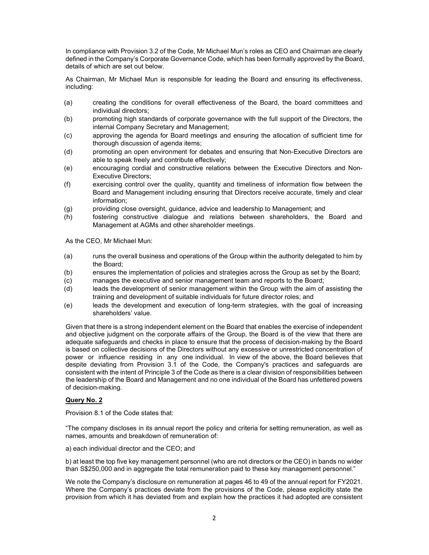In compliance with Provision 3.2 of the Code, Mr Michael Mun's roles as CEO and Chairman are clearly defined in the Company's Corporate Governance Code, which has been formally approved by the Board, details of which are set out below.

As Chairman, Mr Michael Mun is responsible for leading the Board and ensuring its effectiveness, including:

- (a) creating the conditions for overall effectiveness of the Board, the board committees and individual directors;
- (b) promoting high standards of corporate governance with the full support of the Directors, the internal Company Secretary and Management;
- (c) approving the agenda for Board meetings and ensuring the allocation of sufficient time for thorough discussion of agenda items;
- (d) promoting an open environment for debates and ensuring that Non-Executive Directors are able to speak freely and contribute effectively;
- (e) encouraging cordial and constructive relations between the Executive Directors and Non-Executive Directors;
- (f) exercising control over the quality, quantity and timeliness of information flow between the Board and Management including ensuring that Directors receive accurate, timely and clear information;
- (g) providing close oversight, guidance, advice and leadership to Management; and
- (h) fostering constructive dialogue and relations between shareholders, the Board and Management at AGMs and other shareholder meetings.

As the CEO, Mr Michael Mun:

- (a) runs the overall business and operations of the Group within the authority delegated to him by the Board;
- (b) ensures the implementation of policies and strategies across the Group as set by the Board;
- (c) manages the executive and senior management team and reports to the Board;
- (d) leads the development of senior management within the Group with the aim of assisting the training and development of suitable individuals for future director roles; and
- (e) leads the development and execution of long-term strategies, with the goal of increasing shareholders' value.

Given that there is a strong independent element on the Board that enables the exercise of independent and objective judgment on the corporate affairs of the Group, the Board is of the view that there are adequate safeguards and checks in place to ensure that the process of decision-making by the Board is based on collective decisions of the Directors without any excessive or unrestricted concentration of power or influence residing in any one individual. In view of the above, the Board believes that despite deviating from Provision 3.1 of the Code, the Company's practices and safeguards are consistent with the intent of Principle 3 of the Code as there is a clear division of responsibilities between the leadership of the Board and Management and no one individual of the Board has unfettered powers of decision-making.

### Query No. 2

Provision 8.1 of the Code states that:

"The company discloses in its annual report the policy and criteria for setting remuneration, as well as names, amounts and breakdown of remuneration of:

a) each individual director and the CEO; and

b) at least the top five key management personnel (who are not directors or the CEO) in bands no wider than S\$250,000 and in aggregate the total remuneration paid to these key management personnel."

We note the Company's disclosure on remuneration at pages 46 to 49 of the annual report for FY2021. Where the Company's practices deviate from the provisions of the Code, please explicitly state the provision from which it has deviated from and explain how the practices it had adopted are consistent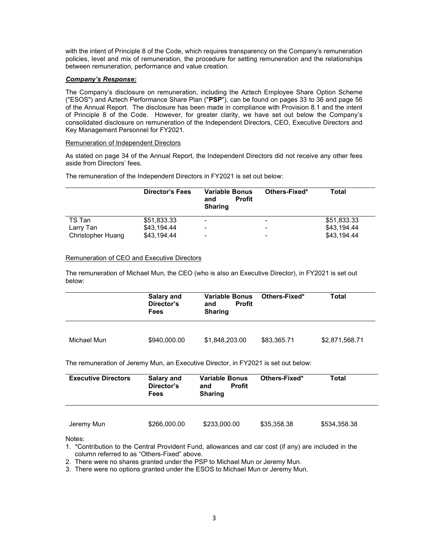with the intent of Principle 8 of the Code, which requires transparency on the Company's remuneration policies, level and mix of remuneration, the procedure for setting remuneration and the relationships between remuneration, performance and value creation.

### Company's Response:

The Company's disclosure on remuneration, including the Aztech Employee Share Option Scheme ("ESOS") and Aztech Performance Share Plan ("PSP"), can be found on pages 33 to 36 and page 56 of the Annual Report. The disclosure has been made in compliance with Provision 8.1 and the intent of Principle 8 of the Code. However, for greater clarity, we have set out below the Company's consolidated disclosure on remuneration of the Independent Directors, CEO, Executive Directors and Key Management Personnel for FY2021.

### Remuneration of Independent Directors

As stated on page 34 of the Annual Report, the Independent Directors did not receive any other fees aside from Directors' fees.

The remuneration of the Independent Directors in FY2021 is set out below:

|                   | <b>Director's Fees</b> | <b>Variable Bonus</b><br><b>Profit</b><br>and<br><b>Sharing</b> | Others-Fixed* | Total       |
|-------------------|------------------------|-----------------------------------------------------------------|---------------|-------------|
| TS Tan            | \$51,833.33            | -                                                               | -             | \$51,833.33 |
| Larry Tan         | \$43.194.44            | -                                                               | -             | \$43.194.44 |
| Christopher Huang | \$43.194.44            | -                                                               | ۰             | \$43.194.44 |

## Remuneration of CEO and Executive Directors

The remuneration of Michael Mun, the CEO (who is also an Executive Director), in FY2021 is set out below:

|             | <b>Salary and</b><br>Director's<br>Fees | Variable Bonus<br>Profit<br>and<br><b>Sharing</b> | Others-Fixed* | Total          |  |  |
|-------------|-----------------------------------------|---------------------------------------------------|---------------|----------------|--|--|
| Michael Mun | \$940,000.00                            | \$1,848,203.00                                    | \$83,365.71   | \$2,871,568.71 |  |  |

The remuneration of Jeremy Mun, an Executive Director, in FY2021 is set out below:

| <b>Executive Directors</b> | Salary and<br>Director's<br><b>Fees</b> | <b>Variable Bonus</b><br><b>Profit</b><br>and<br><b>Sharing</b> | Others-Fixed* | Total        |  |
|----------------------------|-----------------------------------------|-----------------------------------------------------------------|---------------|--------------|--|
| Jeremy Mun                 | \$266,000.00                            | \$233,000.00                                                    | \$35,358.38   | \$534,358.38 |  |

Notes:

- 1. \*Contribution to the Central Provident Fund, allowances and car cost (if any) are included in the column referred to as "Others-Fixed" above.
- 2. There were no shares granted under the PSP to Michael Mun or Jeremy Mun.

3. There were no options granted under the ESOS to Michael Mun or Jeremy Mun.